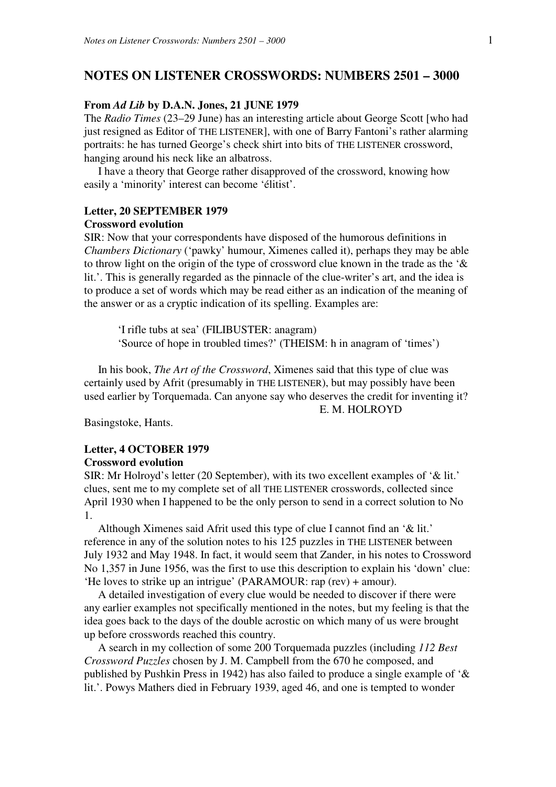# **NOTES ON LISTENER CROSSWORDS: NUMBERS 2501 – 3000**

# **From** *Ad Lib* **by D.A.N. Jones, 21 JUNE 1979**

The *Radio Times* (23–29 June) has an interesting article about George Scott [who had just resigned as Editor of THE LISTENER], with one of Barry Fantoni's rather alarming portraits: he has turned George's check shirt into bits of THE LISTENER crossword, hanging around his neck like an albatross.

 I have a theory that George rather disapproved of the crossword, knowing how easily a 'minority' interest can become 'élitist'.

# **Letter, 20 SEPTEMBER 1979 Crossword evolution**

SIR: Now that your correspondents have disposed of the humorous definitions in *Chambers Dictionary* ('pawky' humour, Ximenes called it), perhaps they may be able to throw light on the origin of the type of crossword clue known in the trade as the '& lit.'. This is generally regarded as the pinnacle of the clue-writer's art, and the idea is to produce a set of words which may be read either as an indication of the meaning of the answer or as a cryptic indication of its spelling. Examples are:

 'I rifle tubs at sea' (FILIBUSTER: anagram) 'Source of hope in troubled times?' (THEISM: h in anagram of 'times')

 In his book, *The Art of the Crossword*, Ximenes said that this type of clue was certainly used by Afrit (presumably in THE LISTENER), but may possibly have been used earlier by Torquemada. Can anyone say who deserves the credit for inventing it? E. M. HOLROYD

Basingstoke, Hants.

# **Letter, 4 OCTOBER 1979 Crossword evolution**

SIR: Mr Holroyd's letter (20 September), with its two excellent examples of '& lit.' clues, sent me to my complete set of all THE LISTENER crosswords, collected since April 1930 when I happened to be the only person to send in a correct solution to No 1.

 Although Ximenes said Afrit used this type of clue I cannot find an '& lit.' reference in any of the solution notes to his 125 puzzles in THE LISTENER between July 1932 and May 1948. In fact, it would seem that Zander, in his notes to Crossword No 1,357 in June 1956, was the first to use this description to explain his 'down' clue: 'He loves to strike up an intrigue' (PARAMOUR: rap (rev) + amour).

 A detailed investigation of every clue would be needed to discover if there were any earlier examples not specifically mentioned in the notes, but my feeling is that the idea goes back to the days of the double acrostic on which many of us were brought up before crosswords reached this country.

 A search in my collection of some 200 Torquemada puzzles (including *112 Best Crossword Puzzles* chosen by J. M. Campbell from the 670 he composed, and published by Pushkin Press in 1942) has also failed to produce a single example of '& lit.'. Powys Mathers died in February 1939, aged 46, and one is tempted to wonder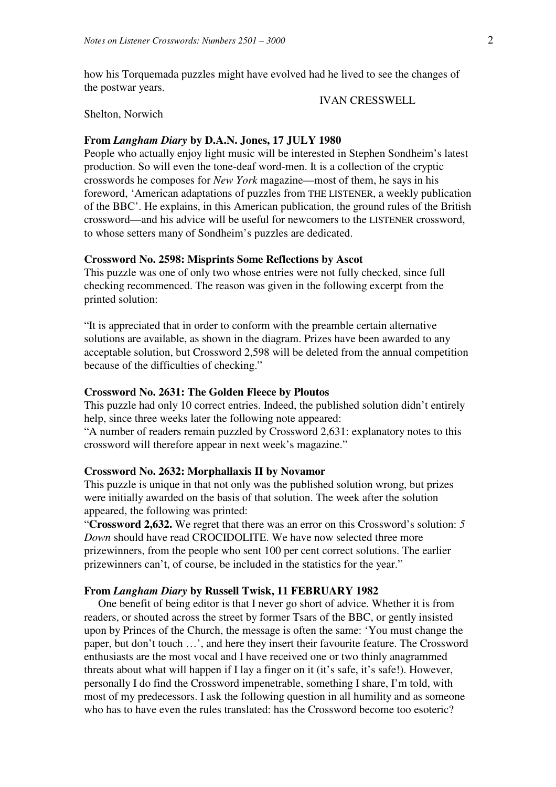how his Torquemada puzzles might have evolved had he lived to see the changes of the postwar years.

# IVAN CRESSWELL

# Shelton, Norwich

# **From** *Langham Diary* **by D.A.N. Jones, 17 JULY 1980**

People who actually enjoy light music will be interested in Stephen Sondheim's latest production. So will even the tone-deaf word-men. It is a collection of the cryptic crosswords he composes for *New York* magazine—most of them, he says in his foreword, 'American adaptations of puzzles from THE LISTENER, a weekly publication of the BBC'. He explains, in this American publication, the ground rules of the British crossword—and his advice will be useful for newcomers to the LISTENER crossword, to whose setters many of Sondheim's puzzles are dedicated.

## **Crossword No. 2598: Misprints Some Reflections by Ascot**

This puzzle was one of only two whose entries were not fully checked, since full checking recommenced. The reason was given in the following excerpt from the printed solution:

"It is appreciated that in order to conform with the preamble certain alternative solutions are available, as shown in the diagram. Prizes have been awarded to any acceptable solution, but Crossword 2,598 will be deleted from the annual competition because of the difficulties of checking."

# **Crossword No. 2631: The Golden Fleece by Ploutos**

This puzzle had only 10 correct entries. Indeed, the published solution didn't entirely help, since three weeks later the following note appeared:

"A number of readers remain puzzled by Crossword 2,631: explanatory notes to this crossword will therefore appear in next week's magazine."

# **Crossword No. 2632: Morphallaxis II by Novamor**

This puzzle is unique in that not only was the published solution wrong, but prizes were initially awarded on the basis of that solution. The week after the solution appeared, the following was printed:

"**Crossword 2,632.** We regret that there was an error on this Crossword's solution: *5 Down* should have read CROCIDOLITE. We have now selected three more prizewinners, from the people who sent 100 per cent correct solutions. The earlier prizewinners can't, of course, be included in the statistics for the year."

# **From** *Langham Diary* **by Russell Twisk, 11 FEBRUARY 1982**

 One benefit of being editor is that I never go short of advice. Whether it is from readers, or shouted across the street by former Tsars of the BBC, or gently insisted upon by Princes of the Church, the message is often the same: 'You must change the paper, but don't touch …', and here they insert their favourite feature. The Crossword enthusiasts are the most vocal and I have received one or two thinly anagrammed threats about what will happen if I lay a finger on it (it's safe, it's safe!). However, personally I do find the Crossword impenetrable, something I share, I'm told, with most of my predecessors. I ask the following question in all humility and as someone who has to have even the rules translated: has the Crossword become too esoteric?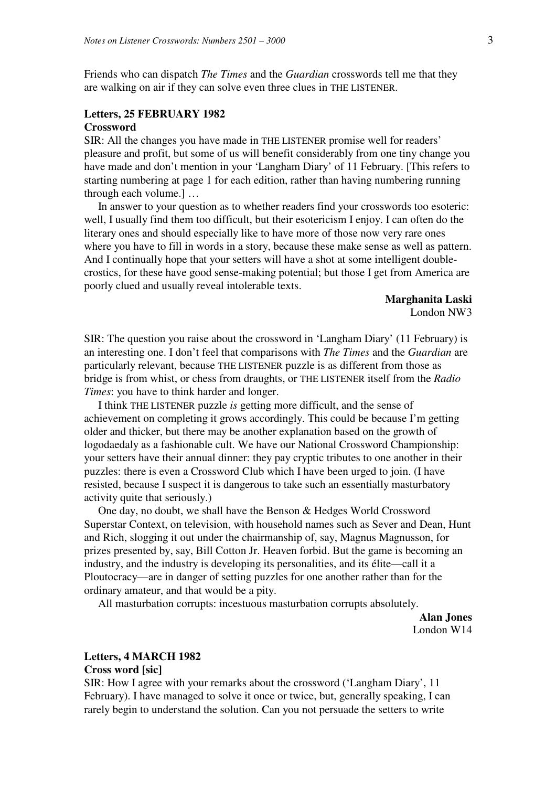Friends who can dispatch *The Times* and the *Guardian* crosswords tell me that they are walking on air if they can solve even three clues in THE LISTENER.

# **Letters, 25 FEBRUARY 1982**

# **Crossword**

SIR: All the changes you have made in THE LISTENER promise well for readers' pleasure and profit, but some of us will benefit considerably from one tiny change you have made and don't mention in your 'Langham Diary' of 11 February. [This refers to starting numbering at page 1 for each edition, rather than having numbering running through each volume.] …

 In answer to your question as to whether readers find your crosswords too esoteric: well, I usually find them too difficult, but their esotericism I enjoy. I can often do the literary ones and should especially like to have more of those now very rare ones where you have to fill in words in a story, because these make sense as well as pattern. And I continually hope that your setters will have a shot at some intelligent doublecrostics, for these have good sense-making potential; but those I get from America are poorly clued and usually reveal intolerable texts.

> **Marghanita Laski**  London NW3

SIR: The question you raise about the crossword in 'Langham Diary' (11 February) is an interesting one. I don't feel that comparisons with *The Times* and the *Guardian* are particularly relevant, because THE LISTENER puzzle is as different from those as bridge is from whist, or chess from draughts, or THE LISTENER itself from the *Radio Times*: you have to think harder and longer.

 I think THE LISTENER puzzle *is* getting more difficult, and the sense of achievement on completing it grows accordingly. This could be because I'm getting older and thicker, but there may be another explanation based on the growth of logodaedaly as a fashionable cult. We have our National Crossword Championship: your setters have their annual dinner: they pay cryptic tributes to one another in their puzzles: there is even a Crossword Club which I have been urged to join. (I have resisted, because I suspect it is dangerous to take such an essentially masturbatory activity quite that seriously.)

 One day, no doubt, we shall have the Benson & Hedges World Crossword Superstar Context, on television, with household names such as Sever and Dean, Hunt and Rich, slogging it out under the chairmanship of, say, Magnus Magnusson, for prizes presented by, say, Bill Cotton Jr. Heaven forbid. But the game is becoming an industry, and the industry is developing its personalities, and its élite—call it a Ploutocracy—are in danger of setting puzzles for one another rather than for the ordinary amateur, and that would be a pity.

All masturbation corrupts: incestuous masturbation corrupts absolutely.

**Alan Jones**  London W14

#### **Letters, 4 MARCH 1982**

# **Cross word [sic]**

SIR: How I agree with your remarks about the crossword ('Langham Diary', 11 February). I have managed to solve it once or twice, but, generally speaking, I can rarely begin to understand the solution. Can you not persuade the setters to write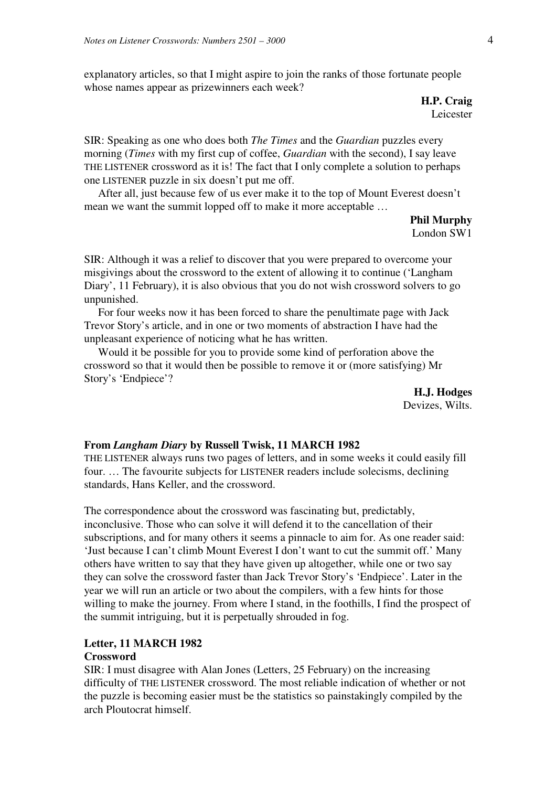explanatory articles, so that I might aspire to join the ranks of those fortunate people whose names appear as prizewinners each week?

> **H.P. Craig**  Leicester

SIR: Speaking as one who does both *The Times* and the *Guardian* puzzles every morning (*Times* with my first cup of coffee, *Guardian* with the second), I say leave THE LISTENER crossword as it is! The fact that I only complete a solution to perhaps one LISTENER puzzle in six doesn't put me off.

 After all, just because few of us ever make it to the top of Mount Everest doesn't mean we want the summit lopped off to make it more acceptable …

> **Phil Murphy**  London SW1

SIR: Although it was a relief to discover that you were prepared to overcome your misgivings about the crossword to the extent of allowing it to continue ('Langham Diary', 11 February), it is also obvious that you do not wish crossword solvers to go unpunished.

 For four weeks now it has been forced to share the penultimate page with Jack Trevor Story's article, and in one or two moments of abstraction I have had the unpleasant experience of noticing what he has written.

 Would it be possible for you to provide some kind of perforation above the crossword so that it would then be possible to remove it or (more satisfying) Mr Story's 'Endpiece'?

> **H.J. Hodges**  Devizes, Wilts.

# **From** *Langham Diary* **by Russell Twisk, 11 MARCH 1982**

THE LISTENER always runs two pages of letters, and in some weeks it could easily fill four. … The favourite subjects for LISTENER readers include solecisms, declining standards, Hans Keller, and the crossword.

The correspondence about the crossword was fascinating but, predictably, inconclusive. Those who can solve it will defend it to the cancellation of their subscriptions, and for many others it seems a pinnacle to aim for. As one reader said: 'Just because I can't climb Mount Everest I don't want to cut the summit off.' Many others have written to say that they have given up altogether, while one or two say they can solve the crossword faster than Jack Trevor Story's 'Endpiece'. Later in the year we will run an article or two about the compilers, with a few hints for those willing to make the journey. From where I stand, in the foothills, I find the prospect of the summit intriguing, but it is perpetually shrouded in fog.

# **Letter, 11 MARCH 1982**

# **Crossword**

SIR: I must disagree with Alan Jones (Letters, 25 February) on the increasing difficulty of THE LISTENER crossword. The most reliable indication of whether or not the puzzle is becoming easier must be the statistics so painstakingly compiled by the arch Ploutocrat himself.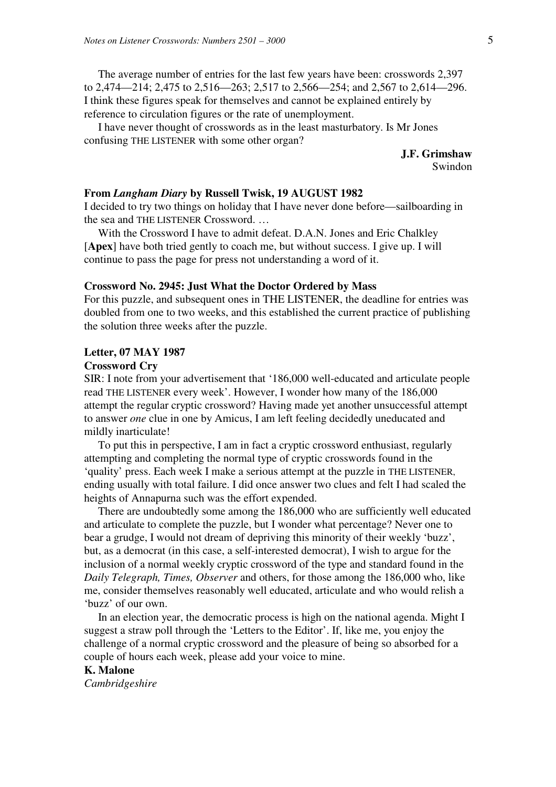The average number of entries for the last few years have been: crosswords 2,397 to 2,474—214; 2,475 to 2,516—263; 2,517 to 2,566—254; and 2,567 to 2,614—296. I think these figures speak for themselves and cannot be explained entirely by reference to circulation figures or the rate of unemployment.

 I have never thought of crosswords as in the least masturbatory. Is Mr Jones confusing THE LISTENER with some other organ?

> **J.F. Grimshaw**  Swindon

# **From** *Langham Diary* **by Russell Twisk, 19 AUGUST 1982**

I decided to try two things on holiday that I have never done before—sailboarding in the sea and THE LISTENER Crossword. …

 With the Crossword I have to admit defeat. D.A.N. Jones and Eric Chalkley [**Apex**] have both tried gently to coach me, but without success. I give up. I will continue to pass the page for press not understanding a word of it.

#### **Crossword No. 2945: Just What the Doctor Ordered by Mass**

For this puzzle, and subsequent ones in THE LISTENER, the deadline for entries was doubled from one to two weeks, and this established the current practice of publishing the solution three weeks after the puzzle.

# **Letter, 07 MAY 1987**

# **Crossword Cry**

SIR: I note from your advertisement that '186,000 well-educated and articulate people read THE LISTENER every week'. However, I wonder how many of the 186,000 attempt the regular cryptic crossword? Having made yet another unsuccessful attempt to answer *one* clue in one by Amicus, I am left feeling decidedly uneducated and mildly inarticulate!

 To put this in perspective, I am in fact a cryptic crossword enthusiast, regularly attempting and completing the normal type of cryptic crosswords found in the 'quality' press. Each week I make a serious attempt at the puzzle in THE LISTENER, ending usually with total failure. I did once answer two clues and felt I had scaled the heights of Annapurna such was the effort expended.

 There are undoubtedly some among the 186,000 who are sufficiently well educated and articulate to complete the puzzle, but I wonder what percentage? Never one to bear a grudge, I would not dream of depriving this minority of their weekly 'buzz', but, as a democrat (in this case, a self-interested democrat), I wish to argue for the inclusion of a normal weekly cryptic crossword of the type and standard found in the *Daily Telegraph, Times, Observer* and others, for those among the 186,000 who, like me, consider themselves reasonably well educated, articulate and who would relish a 'buzz' of our own.

 In an election year, the democratic process is high on the national agenda. Might I suggest a straw poll through the 'Letters to the Editor'. If, like me, you enjoy the challenge of a normal cryptic crossword and the pleasure of being so absorbed for a couple of hours each week, please add your voice to mine.

# **K. Malone**

*Cambridgeshire*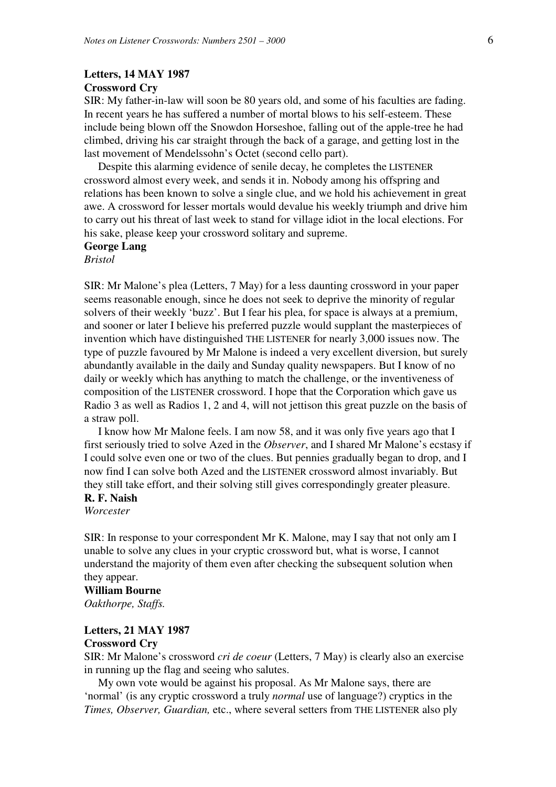# **Letters, 14 MAY 1987 Crossword Cry**

SIR: My father-in-law will soon be 80 years old, and some of his faculties are fading. In recent years he has suffered a number of mortal blows to his self-esteem. These include being blown off the Snowdon Horseshoe, falling out of the apple-tree he had climbed, driving his car straight through the back of a garage, and getting lost in the last movement of Mendelssohn's Octet (second cello part).

 Despite this alarming evidence of senile decay, he completes the LISTENER crossword almost every week, and sends it in. Nobody among his offspring and relations has been known to solve a single clue, and we hold his achievement in great awe. A crossword for lesser mortals would devalue his weekly triumph and drive him to carry out his threat of last week to stand for village idiot in the local elections. For his sake, please keep your crossword solitary and supreme.

# **George Lang**

*Bristol* 

SIR: Mr Malone's plea (Letters, 7 May) for a less daunting crossword in your paper seems reasonable enough, since he does not seek to deprive the minority of regular solvers of their weekly 'buzz'. But I fear his plea, for space is always at a premium, and sooner or later I believe his preferred puzzle would supplant the masterpieces of invention which have distinguished THE LISTENER for nearly 3,000 issues now. The type of puzzle favoured by Mr Malone is indeed a very excellent diversion, but surely abundantly available in the daily and Sunday quality newspapers. But I know of no daily or weekly which has anything to match the challenge, or the inventiveness of composition of the LISTENER crossword. I hope that the Corporation which gave us Radio 3 as well as Radios 1, 2 and 4, will not jettison this great puzzle on the basis of a straw poll.

 I know how Mr Malone feels. I am now 58, and it was only five years ago that I first seriously tried to solve Azed in the *Observer*, and I shared Mr Malone's ecstasy if I could solve even one or two of the clues. But pennies gradually began to drop, and I now find I can solve both Azed and the LISTENER crossword almost invariably. But they still take effort, and their solving still gives correspondingly greater pleasure.

#### **R. F. Naish**

*Worcester* 

SIR: In response to your correspondent Mr K. Malone, may I say that not only am I unable to solve any clues in your cryptic crossword but, what is worse, I cannot understand the majority of them even after checking the subsequent solution when they appear.

# **William Bourne**

*Oakthorpe, Staffs.* 

# **Letters, 21 MAY 1987 Crossword Cry**

SIR: Mr Malone's crossword *cri de coeur* (Letters, 7 May) is clearly also an exercise in running up the flag and seeing who salutes.

 My own vote would be against his proposal. As Mr Malone says, there are 'normal' (is any cryptic crossword a truly *normal* use of language?) cryptics in the *Times, Observer, Guardian,* etc., where several setters from THE LISTENER also ply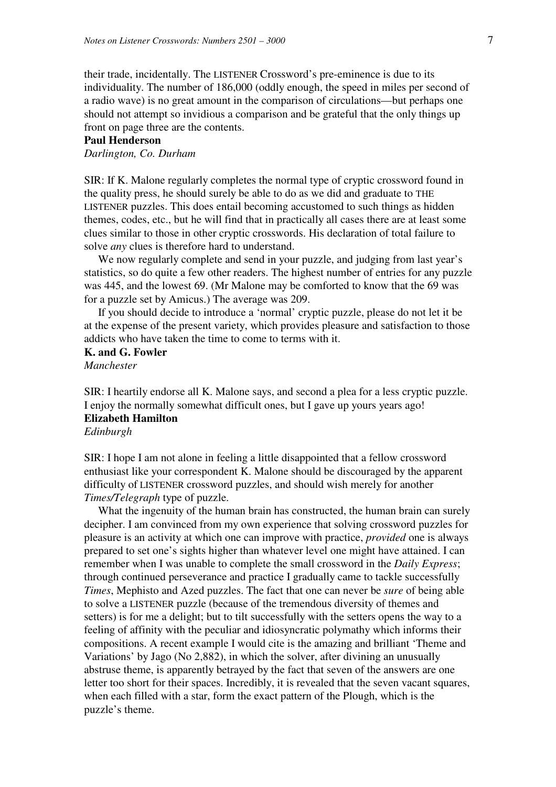their trade, incidentally. The LISTENER Crossword's pre-eminence is due to its individuality. The number of 186,000 (oddly enough, the speed in miles per second of a radio wave) is no great amount in the comparison of circulations—but perhaps one should not attempt so invidious a comparison and be grateful that the only things up front on page three are the contents.

# **Paul Henderson**

*Darlington, Co. Durham* 

SIR: If K. Malone regularly completes the normal type of cryptic crossword found in the quality press, he should surely be able to do as we did and graduate to THE LISTENER puzzles. This does entail becoming accustomed to such things as hidden themes, codes, etc., but he will find that in practically all cases there are at least some clues similar to those in other cryptic crosswords. His declaration of total failure to solve *any* clues is therefore hard to understand.

We now regularly complete and send in your puzzle, and judging from last year's statistics, so do quite a few other readers. The highest number of entries for any puzzle was 445, and the lowest 69. (Mr Malone may be comforted to know that the 69 was for a puzzle set by Amicus.) The average was 209.

 If you should decide to introduce a 'normal' cryptic puzzle, please do not let it be at the expense of the present variety, which provides pleasure and satisfaction to those addicts who have taken the time to come to terms with it.

# **K. and G. Fowler**

*Manchester* 

SIR: I heartily endorse all K. Malone says, and second a plea for a less cryptic puzzle. I enjoy the normally somewhat difficult ones, but I gave up yours years ago! **Elizabeth Hamilton** 

*Edinburgh* 

SIR: I hope I am not alone in feeling a little disappointed that a fellow crossword enthusiast like your correspondent K. Malone should be discouraged by the apparent difficulty of LISTENER crossword puzzles, and should wish merely for another *Times/Telegraph* type of puzzle.

What the ingenuity of the human brain has constructed, the human brain can surely decipher. I am convinced from my own experience that solving crossword puzzles for pleasure is an activity at which one can improve with practice, *provided* one is always prepared to set one's sights higher than whatever level one might have attained. I can remember when I was unable to complete the small crossword in the *Daily Express*; through continued perseverance and practice I gradually came to tackle successfully *Times*, Mephisto and Azed puzzles. The fact that one can never be *sure* of being able to solve a LISTENER puzzle (because of the tremendous diversity of themes and setters) is for me a delight; but to tilt successfully with the setters opens the way to a feeling of affinity with the peculiar and idiosyncratic polymathy which informs their compositions. A recent example I would cite is the amazing and brilliant 'Theme and Variations' by Jago (No 2,882), in which the solver, after divining an unusually abstruse theme, is apparently betrayed by the fact that seven of the answers are one letter too short for their spaces. Incredibly, it is revealed that the seven vacant squares, when each filled with a star, form the exact pattern of the Plough, which is the puzzle's theme.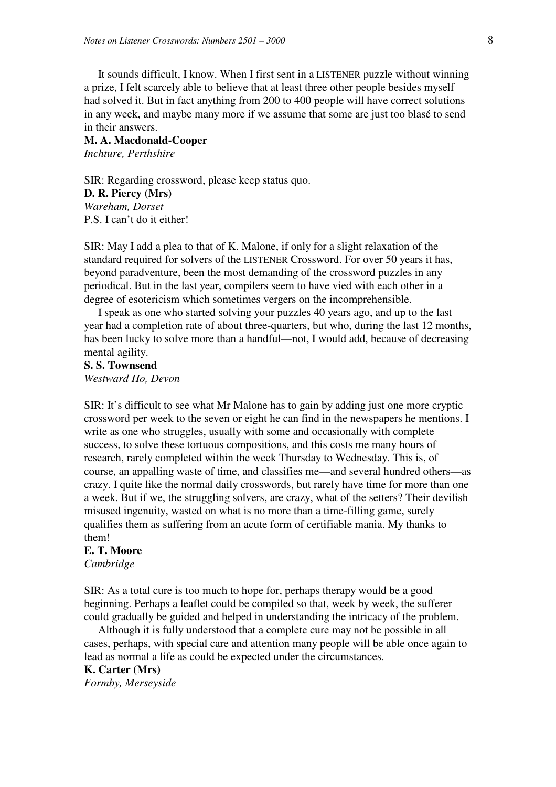It sounds difficult, I know. When I first sent in a LISTENER puzzle without winning a prize, I felt scarcely able to believe that at least three other people besides myself had solved it. But in fact anything from 200 to 400 people will have correct solutions in any week, and maybe many more if we assume that some are just too blasé to send in their answers.

# **M. A. Macdonald-Cooper**  *Inchture, Perthshire*

SIR: Regarding crossword, please keep status quo. **D. R. Piercy (Mrs)**  *Wareham, Dorset*  P.S. I can't do it either!

SIR: May I add a plea to that of K. Malone, if only for a slight relaxation of the standard required for solvers of the LISTENER Crossword. For over 50 years it has, beyond paradventure, been the most demanding of the crossword puzzles in any periodical. But in the last year, compilers seem to have vied with each other in a degree of esotericism which sometimes vergers on the incomprehensible.

 I speak as one who started solving your puzzles 40 years ago, and up to the last year had a completion rate of about three-quarters, but who, during the last 12 months, has been lucky to solve more than a handful—not, I would add, because of decreasing mental agility.

# **S. S. Townsend**  *Westward Ho, Devon*

SIR: It's difficult to see what Mr Malone has to gain by adding just one more cryptic crossword per week to the seven or eight he can find in the newspapers he mentions. I write as one who struggles, usually with some and occasionally with complete success, to solve these tortuous compositions, and this costs me many hours of research, rarely completed within the week Thursday to Wednesday. This is, of course, an appalling waste of time, and classifies me—and several hundred others—as crazy. I quite like the normal daily crosswords, but rarely have time for more than one a week. But if we, the struggling solvers, are crazy, what of the setters? Their devilish misused ingenuity, wasted on what is no more than a time-filling game, surely qualifies them as suffering from an acute form of certifiable mania. My thanks to them!

# **E. T. Moore**

*Cambridge* 

SIR: As a total cure is too much to hope for, perhaps therapy would be a good beginning. Perhaps a leaflet could be compiled so that, week by week, the sufferer could gradually be guided and helped in understanding the intricacy of the problem.

 Although it is fully understood that a complete cure may not be possible in all cases, perhaps, with special care and attention many people will be able once again to lead as normal a life as could be expected under the circumstances.

# **K. Carter (Mrs)**  *Formby, Merseyside*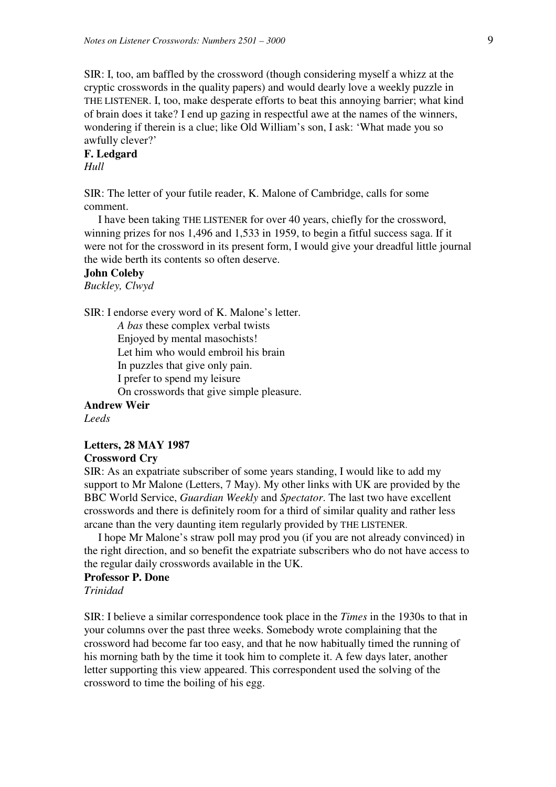SIR: I, too, am baffled by the crossword (though considering myself a whizz at the cryptic crosswords in the quality papers) and would dearly love a weekly puzzle in THE LISTENER. I, too, make desperate efforts to beat this annoying barrier; what kind of brain does it take? I end up gazing in respectful awe at the names of the winners, wondering if therein is a clue; like Old William's son, I ask: 'What made you so awfully clever?'

# **F. Ledgard**  *Hull*

SIR: The letter of your futile reader, K. Malone of Cambridge, calls for some comment.

 I have been taking THE LISTENER for over 40 years, chiefly for the crossword, winning prizes for nos 1,496 and 1,533 in 1959, to begin a fitful success saga. If it were not for the crossword in its present form, I would give your dreadful little journal the wide berth its contents so often deserve.

# **John Coleby**

*Buckley, Clwyd* 

SIR: I endorse every word of K. Malone's letter.

*A bas* these complex verbal twists Enjoyed by mental masochists! Let him who would embroil his brain In puzzles that give only pain. I prefer to spend my leisure On crosswords that give simple pleasure.

**Andrew Weir** 

*Leeds* 

# **Letters, 28 MAY 1987**

# **Crossword Cry**

SIR: As an expatriate subscriber of some years standing, I would like to add my support to Mr Malone (Letters, 7 May). My other links with UK are provided by the BBC World Service, *Guardian Weekly* and *Spectator*. The last two have excellent crosswords and there is definitely room for a third of similar quality and rather less arcane than the very daunting item regularly provided by THE LISTENER.

 I hope Mr Malone's straw poll may prod you (if you are not already convinced) in the right direction, and so benefit the expatriate subscribers who do not have access to the regular daily crosswords available in the UK.

# **Professor P. Done**  *Trinidad*

SIR: I believe a similar correspondence took place in the *Times* in the 1930s to that in your columns over the past three weeks. Somebody wrote complaining that the crossword had become far too easy, and that he now habitually timed the running of his morning bath by the time it took him to complete it. A few days later, another letter supporting this view appeared. This correspondent used the solving of the crossword to time the boiling of his egg.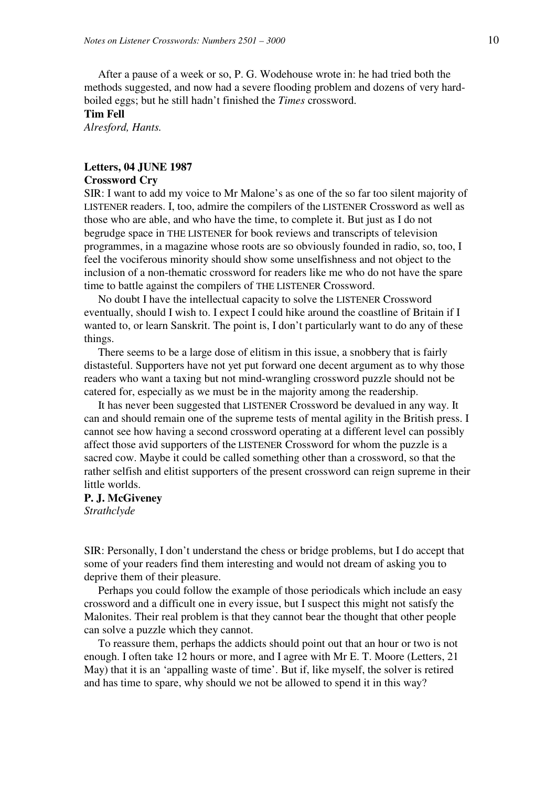After a pause of a week or so, P. G. Wodehouse wrote in: he had tried both the methods suggested, and now had a severe flooding problem and dozens of very hardboiled eggs; but he still hadn't finished the *Times* crossword.

# **Tim Fell**

*Alresford, Hants.* 

# **Letters, 04 JUNE 1987**

# **Crossword Cry**

SIR: I want to add my voice to Mr Malone's as one of the so far too silent majority of LISTENER readers. I, too, admire the compilers of the LISTENER Crossword as well as those who are able, and who have the time, to complete it. But just as I do not begrudge space in THE LISTENER for book reviews and transcripts of television programmes, in a magazine whose roots are so obviously founded in radio, so, too, I feel the vociferous minority should show some unselfishness and not object to the inclusion of a non-thematic crossword for readers like me who do not have the spare time to battle against the compilers of THE LISTENER Crossword.

 No doubt I have the intellectual capacity to solve the LISTENER Crossword eventually, should I wish to. I expect I could hike around the coastline of Britain if I wanted to, or learn Sanskrit. The point is, I don't particularly want to do any of these things.

 There seems to be a large dose of elitism in this issue, a snobbery that is fairly distasteful. Supporters have not yet put forward one decent argument as to why those readers who want a taxing but not mind-wrangling crossword puzzle should not be catered for, especially as we must be in the majority among the readership.

 It has never been suggested that LISTENER Crossword be devalued in any way. It can and should remain one of the supreme tests of mental agility in the British press. I cannot see how having a second crossword operating at a different level can possibly affect those avid supporters of the LISTENER Crossword for whom the puzzle is a sacred cow. Maybe it could be called something other than a crossword, so that the rather selfish and elitist supporters of the present crossword can reign supreme in their little worlds.

# **P. J. McGiveney**  *Strathclyde*

SIR: Personally, I don't understand the chess or bridge problems, but I do accept that some of your readers find them interesting and would not dream of asking you to deprive them of their pleasure.

 Perhaps you could follow the example of those periodicals which include an easy crossword and a difficult one in every issue, but I suspect this might not satisfy the Malonites. Their real problem is that they cannot bear the thought that other people can solve a puzzle which they cannot.

 To reassure them, perhaps the addicts should point out that an hour or two is not enough. I often take 12 hours or more, and I agree with Mr E. T. Moore (Letters, 21 May) that it is an 'appalling waste of time'. But if, like myself, the solver is retired and has time to spare, why should we not be allowed to spend it in this way?